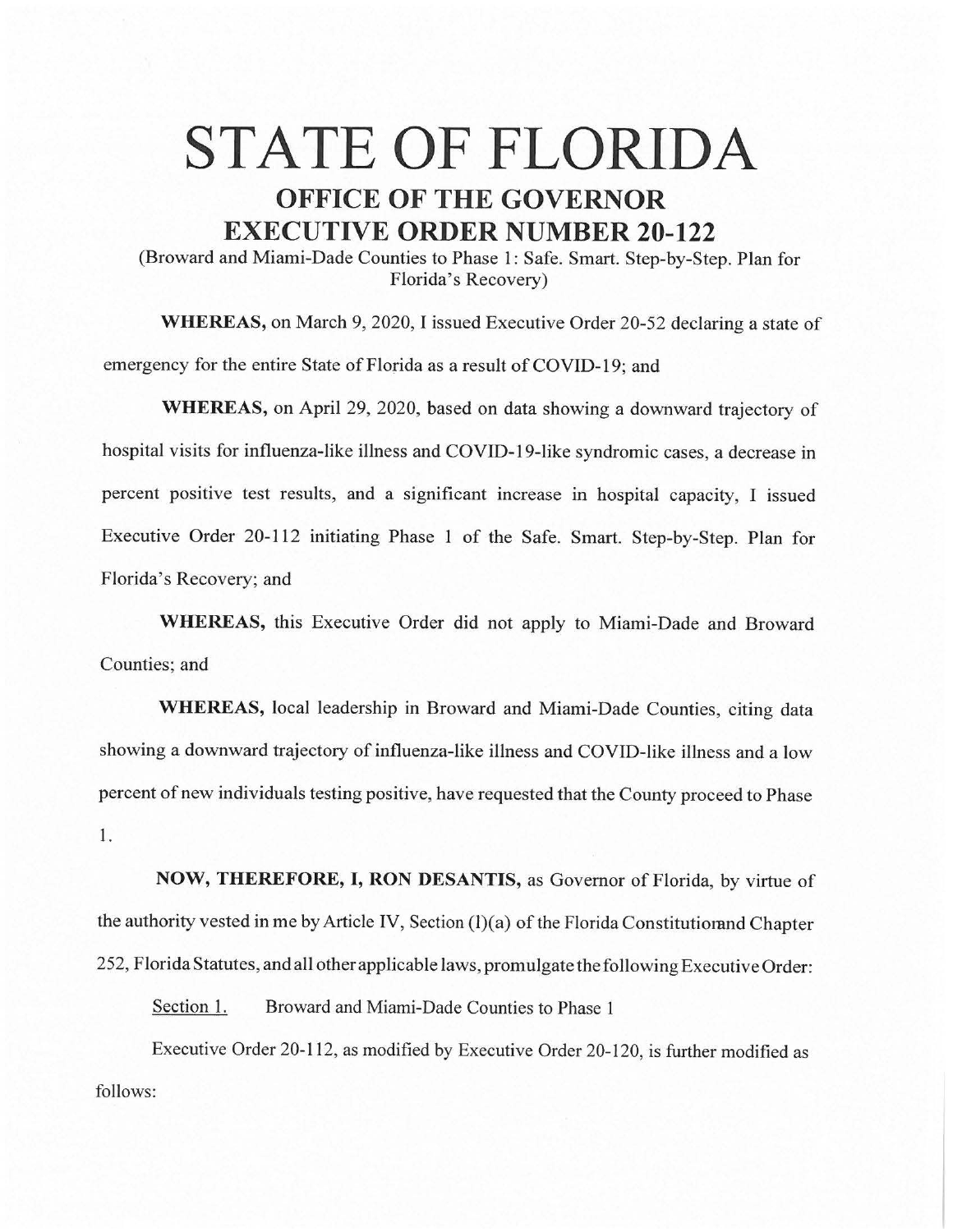## STATE OF FLORIDA **OFFICE OF THE GOVERNOR EXECUTIVE ORDER NUMBER 20-122**

(Broward and Miami-Dade Counties to Phase 1: Safe. Smart. Step-by-Step. Plan for Florida's Recovery)

**WHEREAS,** on March 9, 2020, I issued Executive Order 20-52 declaring a state of emergency for the entire State of Florida as a result of COVID-19; and

**WHEREAS,** on April 29, 2020, based on data showing a downward trajectory of hospital visits for influenza-like illness and COVID-19-like syndromic cases, a decrease in percent positive test results, and a significant increase in hospital capacity, I issued Executive Order 20-112 initiating Phase 1 of the Safe. Smart. Step-by-Step. Plan for Florida's Recovery; and

**WHEREAS,** this Executive Order did not apply to Miami-Dade and Broward Counties; and

**WHEREAS,** local leadership in Broward and Miami-Dade Counties, citing data showing a downward trajectory of influenza-like illness and COVID-like illness and a low percent of new individuals testing positive, have requested that the County proceed to Phase 1.

**NOW, THEREFORE,** I, **RON DESANTIS,** as Governor of Florida, by virtue of the authority vested in me by Article IV, Section  $(1)(a)$  of the Florida Constitution and Chapter 252, Florida Statutes, and all other applicable laws, promulgate the following Executive Order:

Section 1. Broward and Miami-Dade Counties to Phase 1

Executive Order 20-112, as modified by Executive Order 20-120, is further modified as follows: